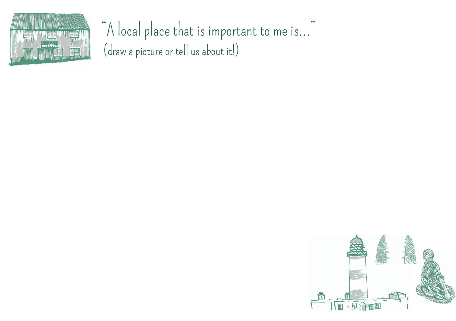

"A local place that is important to me is..."  $, ,$ (draw a picture or tell us about it!)

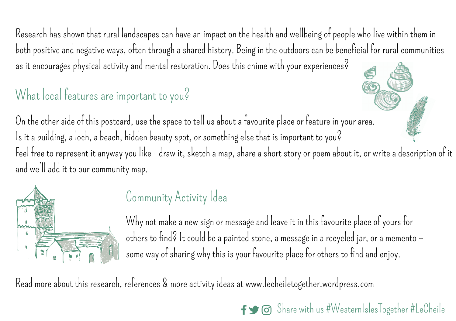Research has shown that rural landscapes can have an impact on the health and wellbeing of people who live within them in both positive and negative ways, often through a shared history. Being in the outdoors can be beneficial for rural communities as it encourages physical activity and mental restoration. Does this chime with your experiences?

# What local features are important to you?

On the other side of this postcard, use the space to tell us about a favourite place or feature in your area. Is it a building, a loch, a beach, hidden beauty spot, or something else that is important to you? Feel free to represent it anyway you like - draw it, sketch a map, share a short story or poem about it, or write a description of it and we'll add it to our community map.



### Community Activity Idea

Why not make a new sign or message and leave it in this favourite place of yours for others to find? It could be a painted stone, a message in a recycled jar, or a memento – some way of sharing why this is your favourite place for others to find and enjoy.

Read more about this research, references & more activity ideas at [www.lecheiletogether.wordpress.co](http://www.lecheiletogether.wordpress.com/)m

#### $\mathsf{f}$   $\bigcirc$   $\mathsf{G}$  Share with us #WesternIslesTogether #LeCheile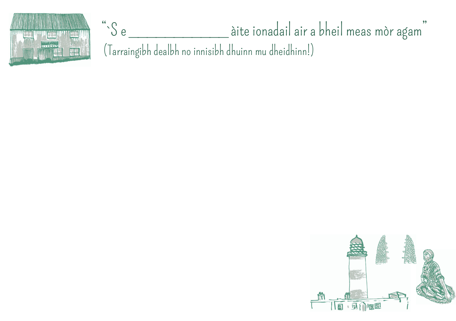



(Tarraingibh dealbh no innisibh dhuinn mu dheidhinn!)